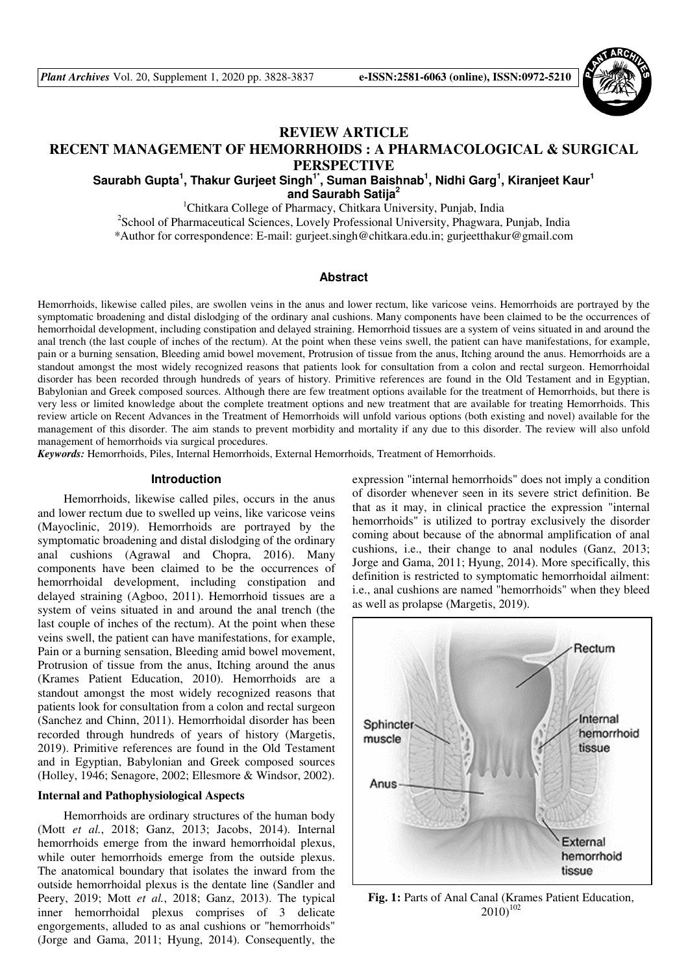

## **REVIEW ARTICLE**

# **RECENT MANAGEMENT OF HEMORRHOIDS : A PHARMACOLOGICAL & SURGICAL PERSPECTIVE**

**Saurabh Gupta<sup>1</sup> , Thakur Gurjeet Singh1\*, Suman Baishnab<sup>1</sup> , Nidhi Garg<sup>1</sup> , Kiranjeet Kaur<sup>1</sup> and Saurabh Satija<sup>2</sup>**

<sup>1</sup>Chitkara College of Pharmacy, Chitkara University, Punjab, India

<sup>2</sup>School of Pharmaceutical Sciences, Lovely Professional University, Phagwara, Punjab, India \*Author for correspondence: E-mail: gurjeet.singh@chitkara.edu.in; gurjeetthakur@gmail.com

### **Abstract**

Hemorrhoids, likewise called piles, are swollen veins in the anus and lower rectum, like varicose veins. Hemorrhoids are portrayed by the symptomatic broadening and distal dislodging of the ordinary anal cushions. Many components have been claimed to be the occurrences of hemorrhoidal development, including constipation and delayed straining. Hemorrhoid tissues are a system of veins situated in and around the anal trench (the last couple of inches of the rectum). At the point when these veins swell, the patient can have manifestations, for example, pain or a burning sensation, Bleeding amid bowel movement, Protrusion of tissue from the anus, Itching around the anus. Hemorrhoids are a standout amongst the most widely recognized reasons that patients look for consultation from a colon and rectal surgeon. Hemorrhoidal disorder has been recorded through hundreds of years of history. Primitive references are found in the Old Testament and in Egyptian, Babylonian and Greek composed sources. Although there are few treatment options available for the treatment of Hemorrhoids, but there is very less or limited knowledge about the complete treatment options and new treatment that are available for treating Hemorrhoids. This review article on Recent Advances in the Treatment of Hemorrhoids will unfold various options (both existing and novel) available for the management of this disorder. The aim stands to prevent morbidity and mortality if any due to this disorder. The review will also unfold management of hemorrhoids via surgical procedures.

*Keywords:* Hemorrhoids, Piles, Internal Hemorrhoids, External Hemorrhoids, Treatment of Hemorrhoids.

### **Introduction**

Hemorrhoids, likewise called piles, occurs in the anus and lower rectum due to swelled up veins, like varicose veins (Mayoclinic, 2019). Hemorrhoids are portrayed by the symptomatic broadening and distal dislodging of the ordinary anal cushions (Agrawal and Chopra, 2016). Many components have been claimed to be the occurrences of hemorrhoidal development, including constipation and delayed straining (Agboo, 2011). Hemorrhoid tissues are a system of veins situated in and around the anal trench (the last couple of inches of the rectum). At the point when these veins swell, the patient can have manifestations, for example, Pain or a burning sensation, Bleeding amid bowel movement, Protrusion of tissue from the anus, Itching around the anus (Krames Patient Education, 2010). Hemorrhoids are a standout amongst the most widely recognized reasons that patients look for consultation from a colon and rectal surgeon (Sanchez and Chinn, 2011). Hemorrhoidal disorder has been recorded through hundreds of years of history (Margetis, 2019). Primitive references are found in the Old Testament and in Egyptian, Babylonian and Greek composed sources (Holley, 1946; Senagore, 2002; Ellesmore & Windsor, 2002).

### **Internal and Pathophysiological Aspects**

Hemorrhoids are ordinary structures of the human body (Mott *et al.*, 2018; Ganz, 2013; Jacobs, 2014). Internal hemorrhoids emerge from the inward hemorrhoidal plexus, while outer hemorrhoids emerge from the outside plexus. The anatomical boundary that isolates the inward from the outside hemorrhoidal plexus is the dentate line (Sandler and Peery, 2019; Mott *et al.*, 2018; Ganz, 2013). The typical inner hemorrhoidal plexus comprises of 3 delicate engorgements, alluded to as anal cushions or "hemorrhoids" (Jorge and Gama, 2011; Hyung, 2014). Consequently, the

expression "internal hemorrhoids" does not imply a condition of disorder whenever seen in its severe strict definition. Be that as it may, in clinical practice the expression "internal hemorrhoids" is utilized to portray exclusively the disorder coming about because of the abnormal amplification of anal cushions, i.e., their change to anal nodules (Ganz, 2013; Jorge and Gama, 2011; Hyung, 2014). More specifically, this definition is restricted to symptomatic hemorrhoidal ailment: i.e., anal cushions are named "hemorrhoids" when they bleed as well as prolapse (Margetis, 2019).



Fig. 1: Parts of Anal Canal (Krames Patient Education,  $2010$ <sup>102</sup>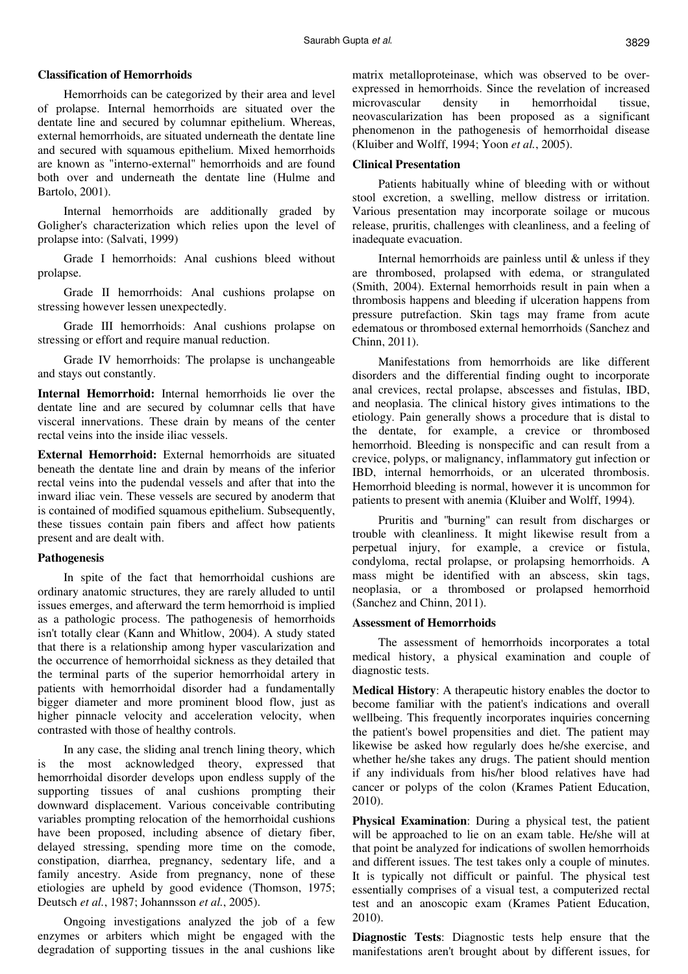### **Classification of Hemorrhoids**

Hemorrhoids can be categorized by their area and level of prolapse. Internal hemorrhoids are situated over the dentate line and secured by columnar epithelium. Whereas, external hemorrhoids, are situated underneath the dentate line and secured with squamous epithelium. Mixed hemorrhoids are known as "interno-external" hemorrhoids and are found both over and underneath the dentate line (Hulme and Bartolo, 2001).

Internal hemorrhoids are additionally graded by Goligher's characterization which relies upon the level of prolapse into: (Salvati, 1999)

Grade I hemorrhoids: Anal cushions bleed without prolapse.

Grade II hemorrhoids: Anal cushions prolapse on stressing however lessen unexpectedly.

Grade III hemorrhoids: Anal cushions prolapse on stressing or effort and require manual reduction.

Grade IV hemorrhoids: The prolapse is unchangeable and stays out constantly.

**Internal Hemorrhoid:** Internal hemorrhoids lie over the dentate line and are secured by columnar cells that have visceral innervations. These drain by means of the center rectal veins into the inside iliac vessels.

**External Hemorrhoid:** External hemorrhoids are situated beneath the dentate line and drain by means of the inferior rectal veins into the pudendal vessels and after that into the inward iliac vein. These vessels are secured by anoderm that is contained of modified squamous epithelium. Subsequently, these tissues contain pain fibers and affect how patients present and are dealt with.

### **Pathogenesis**

In spite of the fact that hemorrhoidal cushions are ordinary anatomic structures, they are rarely alluded to until issues emerges, and afterward the term hemorrhoid is implied as a pathologic process. The pathogenesis of hemorrhoids isn't totally clear (Kann and Whitlow, 2004). A study stated that there is a relationship among hyper vascularization and the occurrence of hemorrhoidal sickness as they detailed that the terminal parts of the superior hemorrhoidal artery in patients with hemorrhoidal disorder had a fundamentally bigger diameter and more prominent blood flow, just as higher pinnacle velocity and acceleration velocity, when contrasted with those of healthy controls.

In any case, the sliding anal trench lining theory, which is the most acknowledged theory, expressed that hemorrhoidal disorder develops upon endless supply of the supporting tissues of anal cushions prompting their downward displacement. Various conceivable contributing variables prompting relocation of the hemorrhoidal cushions have been proposed, including absence of dietary fiber, delayed stressing, spending more time on the comode, constipation, diarrhea, pregnancy, sedentary life, and a family ancestry. Aside from pregnancy, none of these etiologies are upheld by good evidence (Thomson, 1975; Deutsch *et al.*, 1987; Johannsson *et al.*, 2005).

Ongoing investigations analyzed the job of a few enzymes or arbiters which might be engaged with the degradation of supporting tissues in the anal cushions like matrix metalloproteinase, which was observed to be overexpressed in hemorrhoids. Since the revelation of increased microvascular density in hemorrhoidal tissue, neovascularization has been proposed as a significant phenomenon in the pathogenesis of hemorrhoidal disease (Kluiber and Wolff, 1994; Yoon *et al.*, 2005).

## **Clinical Presentation**

Patients habitually whine of bleeding with or without stool excretion, a swelling, mellow distress or irritation. Various presentation may incorporate soilage or mucous release, pruritis, challenges with cleanliness, and a feeling of inadequate evacuation.

Internal hemorrhoids are painless until & unless if they are thrombosed, prolapsed with edema, or strangulated (Smith, 2004). External hemorrhoids result in pain when a thrombosis happens and bleeding if ulceration happens from pressure putrefaction. Skin tags may frame from acute edematous or thrombosed external hemorrhoids (Sanchez and Chinn, 2011).

Manifestations from hemorrhoids are like different disorders and the differential finding ought to incorporate anal crevices, rectal prolapse, abscesses and fistulas, IBD, and neoplasia. The clinical history gives intimations to the etiology. Pain generally shows a procedure that is distal to the dentate, for example, a crevice or thrombosed hemorrhoid. Bleeding is nonspecific and can result from a crevice, polyps, or malignancy, inflammatory gut infection or IBD, internal hemorrhoids, or an ulcerated thrombosis. Hemorrhoid bleeding is normal, however it is uncommon for patients to present with anemia (Kluiber and Wolff, 1994).

Pruritis and ''burning'' can result from discharges or trouble with cleanliness. It might likewise result from a perpetual injury, for example, a crevice or fistula, condyloma, rectal prolapse, or prolapsing hemorrhoids. A mass might be identified with an abscess, skin tags, neoplasia, or a thrombosed or prolapsed hemorrhoid (Sanchez and Chinn, 2011).

## **Assessment of Hemorrhoids**

The assessment of hemorrhoids incorporates a total medical history, a physical examination and couple of diagnostic tests.

**Medical History**: A therapeutic history enables the doctor to become familiar with the patient's indications and overall wellbeing. This frequently incorporates inquiries concerning the patient's bowel propensities and diet. The patient may likewise be asked how regularly does he/she exercise, and whether he/she takes any drugs. The patient should mention if any individuals from his/her blood relatives have had cancer or polyps of the colon (Krames Patient Education, 2010).

**Physical Examination**: During a physical test, the patient will be approached to lie on an exam table. He/she will at that point be analyzed for indications of swollen hemorrhoids and different issues. The test takes only a couple of minutes. It is typically not difficult or painful. The physical test essentially comprises of a visual test, a computerized rectal test and an anoscopic exam (Krames Patient Education, 2010).

**Diagnostic Tests**: Diagnostic tests help ensure that the manifestations aren't brought about by different issues, for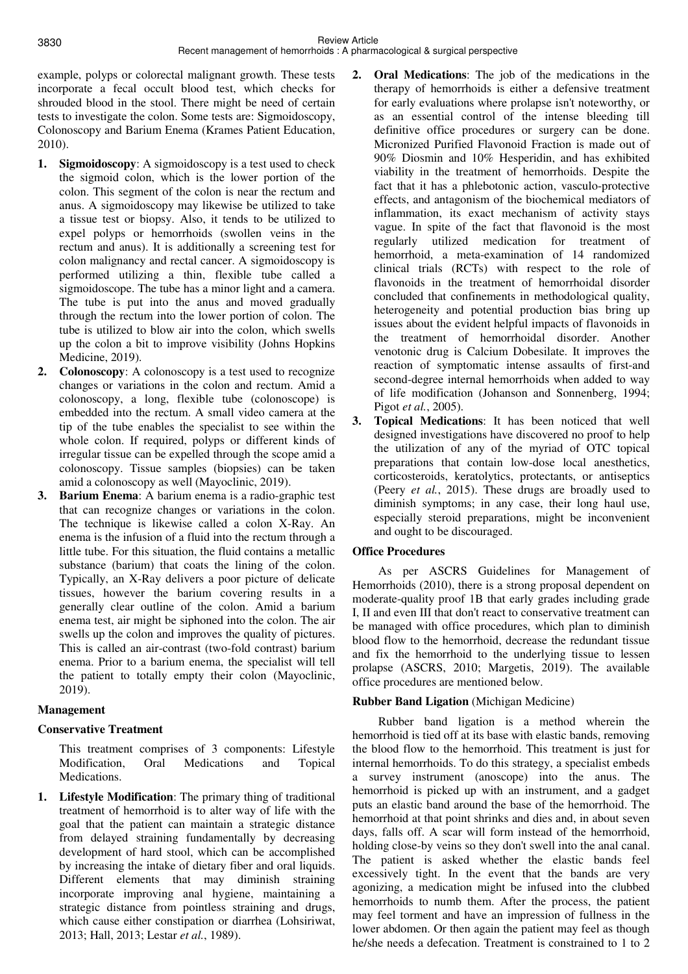example, polyps or colorectal malignant growth. These tests incorporate a fecal occult blood test, which checks for shrouded blood in the stool. There might be need of certain tests to investigate the colon. Some tests are: Sigmoidoscopy, Colonoscopy and Barium Enema (Krames Patient Education, 2010).

- **1. Sigmoidoscopy**: A sigmoidoscopy is a test used to check the sigmoid colon, which is the lower portion of the colon. This segment of the colon is near the rectum and anus. A sigmoidoscopy may likewise be utilized to take a tissue test or biopsy. Also, it tends to be utilized to expel polyps or hemorrhoids (swollen veins in the rectum and anus). It is additionally a screening test for colon malignancy and rectal cancer. A sigmoidoscopy is performed utilizing a thin, flexible tube called a sigmoidoscope. The tube has a minor light and a camera. The tube is put into the anus and moved gradually through the rectum into the lower portion of colon. The tube is utilized to blow air into the colon, which swells up the colon a bit to improve visibility (Johns Hopkins Medicine, 2019).
- **2. Colonoscopy**: A colonoscopy is a test used to recognize changes or variations in the colon and rectum. Amid a colonoscopy, a long, flexible tube (colonoscope) is embedded into the rectum. A small video camera at the tip of the tube enables the specialist to see within the whole colon. If required, polyps or different kinds of irregular tissue can be expelled through the scope amid a colonoscopy. Tissue samples (biopsies) can be taken amid a colonoscopy as well (Mayoclinic, 2019).
- **3. Barium Enema**: A barium enema is a radio-graphic test that can recognize changes or variations in the colon. The technique is likewise called a colon X-Ray. An enema is the infusion of a fluid into the rectum through a little tube. For this situation, the fluid contains a metallic substance (barium) that coats the lining of the colon. Typically, an X-Ray delivers a poor picture of delicate tissues, however the barium covering results in a generally clear outline of the colon. Amid a barium enema test, air might be siphoned into the colon. The air swells up the colon and improves the quality of pictures. This is called an air-contrast (two-fold contrast) barium enema. Prior to a barium enema, the specialist will tell the patient to totally empty their colon (Mayoclinic, 2019).

# **Management**

# **Conservative Treatment**

 This treatment comprises of 3 components: Lifestyle Modification, Oral Medications and Topical Medications.

**1. Lifestyle Modification**: The primary thing of traditional treatment of hemorrhoid is to alter way of life with the goal that the patient can maintain a strategic distance from delayed straining fundamentally by decreasing development of hard stool, which can be accomplished by increasing the intake of dietary fiber and oral liquids. Different elements that may diminish straining incorporate improving anal hygiene, maintaining a strategic distance from pointless straining and drugs, which cause either constipation or diarrhea (Lohsiriwat, 2013; Hall, 2013; Lestar *et al.*, 1989).

- **2. Oral Medications**: The job of the medications in the therapy of hemorrhoids is either a defensive treatment for early evaluations where prolapse isn't noteworthy, or as an essential control of the intense bleeding till definitive office procedures or surgery can be done. Micronized Purified Flavonoid Fraction is made out of 90% Diosmin and 10% Hesperidin, and has exhibited viability in the treatment of hemorrhoids. Despite the fact that it has a phlebotonic action, vasculo-protective effects, and antagonism of the biochemical mediators of inflammation, its exact mechanism of activity stays vague. In spite of the fact that flavonoid is the most regularly utilized medication for treatment of hemorrhoid, a meta-examination of 14 randomized clinical trials (RCTs) with respect to the role of flavonoids in the treatment of hemorrhoidal disorder concluded that confinements in methodological quality, heterogeneity and potential production bias bring up issues about the evident helpful impacts of flavonoids in the treatment of hemorrhoidal disorder. Another venotonic drug is Calcium Dobesilate. It improves the reaction of symptomatic intense assaults of first-and second-degree internal hemorrhoids when added to way of life modification (Johanson and Sonnenberg, 1994; Pigot *et al.*, 2005).
- **3. Topical Medications**: It has been noticed that well designed investigations have discovered no proof to help the utilization of any of the myriad of OTC topical preparations that contain low-dose local anesthetics, corticosteroids, keratolytics, protectants, or antiseptics (Peery *et al.*, 2015). These drugs are broadly used to diminish symptoms; in any case, their long haul use, especially steroid preparations, might be inconvenient and ought to be discouraged.

# **Office Procedures**

As per ASCRS Guidelines for Management of Hemorrhoids (2010), there is a strong proposal dependent on moderate-quality proof 1B that early grades including grade I, II and even III that don't react to conservative treatment can be managed with office procedures, which plan to diminish blood flow to the hemorrhoid, decrease the redundant tissue and fix the hemorrhoid to the underlying tissue to lessen prolapse (ASCRS, 2010; Margetis, 2019). The available office procedures are mentioned below.

# **Rubber Band Ligation** (Michigan Medicine)

Rubber band ligation is a method wherein the hemorrhoid is tied off at its base with elastic bands, removing the blood flow to the hemorrhoid. This treatment is just for internal hemorrhoids. To do this strategy, a specialist embeds a survey instrument (anoscope) into the anus. The hemorrhoid is picked up with an instrument, and a gadget puts an elastic band around the base of the hemorrhoid. The hemorrhoid at that point shrinks and dies and, in about seven days, falls off. A scar will form instead of the hemorrhoid, holding close-by veins so they don't swell into the anal canal. The patient is asked whether the elastic bands feel excessively tight. In the event that the bands are very agonizing, a medication might be infused into the clubbed hemorrhoids to numb them. After the process, the patient may feel torment and have an impression of fullness in the lower abdomen. Or then again the patient may feel as though he/she needs a defecation. Treatment is constrained to 1 to 2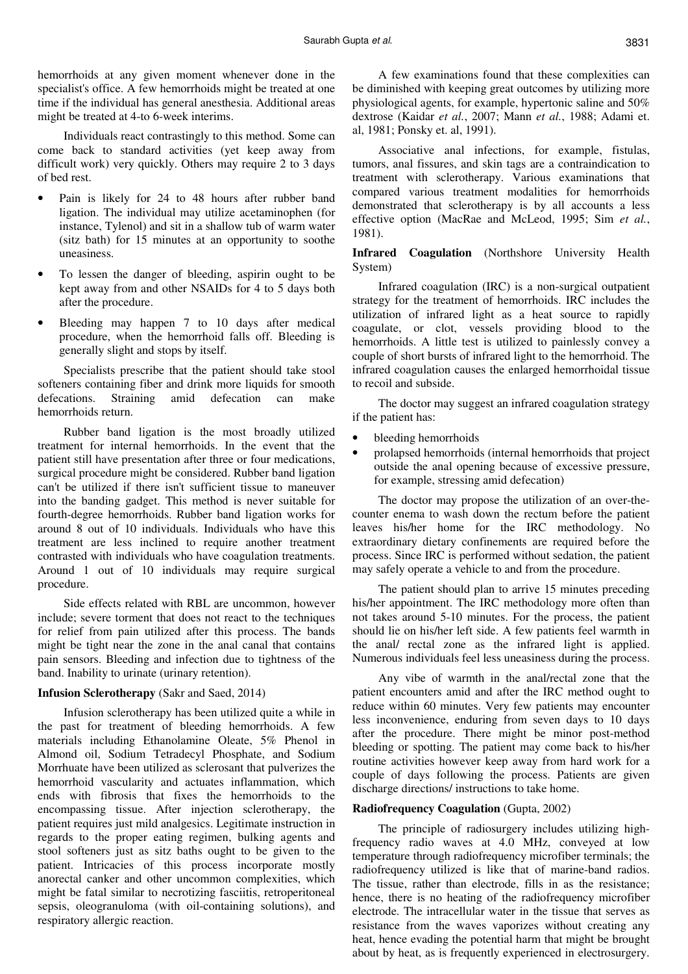hemorrhoids at any given moment whenever done in the specialist's office. A few hemorrhoids might be treated at one time if the individual has general anesthesia. Additional areas might be treated at 4-to 6-week interims.

Individuals react contrastingly to this method. Some can come back to standard activities (yet keep away from difficult work) very quickly. Others may require 2 to 3 days of bed rest.

- Pain is likely for 24 to 48 hours after rubber band ligation. The individual may utilize acetaminophen (for instance, Tylenol) and sit in a shallow tub of warm water (sitz bath) for 15 minutes at an opportunity to soothe uneasiness.
- To lessen the danger of bleeding, aspirin ought to be kept away from and other NSAIDs for 4 to 5 days both after the procedure.
- Bleeding may happen 7 to 10 days after medical procedure, when the hemorrhoid falls off. Bleeding is generally slight and stops by itself.

Specialists prescribe that the patient should take stool softeners containing fiber and drink more liquids for smooth defecations. Straining amid defecation can make hemorrhoids return.

Rubber band ligation is the most broadly utilized treatment for internal hemorrhoids. In the event that the patient still have presentation after three or four medications, surgical procedure might be considered. Rubber band ligation can't be utilized if there isn't sufficient tissue to maneuver into the banding gadget. This method is never suitable for fourth-degree hemorrhoids. Rubber band ligation works for around 8 out of 10 individuals. Individuals who have this treatment are less inclined to require another treatment contrasted with individuals who have coagulation treatments. Around 1 out of 10 individuals may require surgical procedure.

Side effects related with RBL are uncommon, however include; severe torment that does not react to the techniques for relief from pain utilized after this process. The bands might be tight near the zone in the anal canal that contains pain sensors. Bleeding and infection due to tightness of the band. Inability to urinate (urinary retention).

### **Infusion Sclerotherapy** (Sakr and Saed, 2014)

Infusion sclerotherapy has been utilized quite a while in the past for treatment of bleeding hemorrhoids. A few materials including Ethanolamine Oleate, 5% Phenol in Almond oil, Sodium Tetradecyl Phosphate, and Sodium Morrhuate have been utilized as sclerosant that pulverizes the hemorrhoid vascularity and actuates inflammation, which ends with fibrosis that fixes the hemorrhoids to the encompassing tissue. After injection sclerotherapy, the patient requires just mild analgesics. Legitimate instruction in regards to the proper eating regimen, bulking agents and stool softeners just as sitz baths ought to be given to the patient. Intricacies of this process incorporate mostly anorectal canker and other uncommon complexities, which might be fatal similar to necrotizing fasciitis, retroperitoneal sepsis, oleogranuloma (with oil-containing solutions), and respiratory allergic reaction.

A few examinations found that these complexities can be diminished with keeping great outcomes by utilizing more physiological agents, for example, hypertonic saline and 50% dextrose (Kaidar *et al.*, 2007; Mann *et al.*, 1988; Adami et. al, 1981; Ponsky et. al, 1991).

Associative anal infections, for example, fistulas, tumors, anal fissures, and skin tags are a contraindication to treatment with sclerotherapy. Various examinations that compared various treatment modalities for hemorrhoids demonstrated that sclerotherapy is by all accounts a less effective option (MacRae and McLeod, 1995; Sim *et al.*, 1981).

## **Infrared Coagulation** (Northshore University Health System)

Infrared coagulation (IRC) is a non-surgical outpatient strategy for the treatment of hemorrhoids. IRC includes the utilization of infrared light as a heat source to rapidly coagulate, or clot, vessels providing blood to the hemorrhoids. A little test is utilized to painlessly convey a couple of short bursts of infrared light to the hemorrhoid. The infrared coagulation causes the enlarged hemorrhoidal tissue to recoil and subside.

The doctor may suggest an infrared coagulation strategy if the patient has:

- bleeding hemorrhoids
- prolapsed hemorrhoids (internal hemorrhoids that project outside the anal opening because of excessive pressure, for example, stressing amid defecation)

The doctor may propose the utilization of an over-thecounter enema to wash down the rectum before the patient leaves his/her home for the IRC methodology. No extraordinary dietary confinements are required before the process. Since IRC is performed without sedation, the patient may safely operate a vehicle to and from the procedure.

The patient should plan to arrive 15 minutes preceding his/her appointment. The IRC methodology more often than not takes around 5-10 minutes. For the process, the patient should lie on his/her left side. A few patients feel warmth in the anal/ rectal zone as the infrared light is applied. Numerous individuals feel less uneasiness during the process.

Any vibe of warmth in the anal/rectal zone that the patient encounters amid and after the IRC method ought to reduce within 60 minutes. Very few patients may encounter less inconvenience, enduring from seven days to 10 days after the procedure. There might be minor post-method bleeding or spotting. The patient may come back to his/her routine activities however keep away from hard work for a couple of days following the process. Patients are given discharge directions/ instructions to take home.

### **Radiofrequency Coagulation** (Gupta, 2002)

The principle of radiosurgery includes utilizing highfrequency radio waves at 4.0 MHz, conveyed at low temperature through radiofrequency microfiber terminals; the radiofrequency utilized is like that of marine-band radios. The tissue, rather than electrode, fills in as the resistance; hence, there is no heating of the radiofrequency microfiber electrode. The intracellular water in the tissue that serves as resistance from the waves vaporizes without creating any heat, hence evading the potential harm that might be brought about by heat, as is frequently experienced in electrosurgery.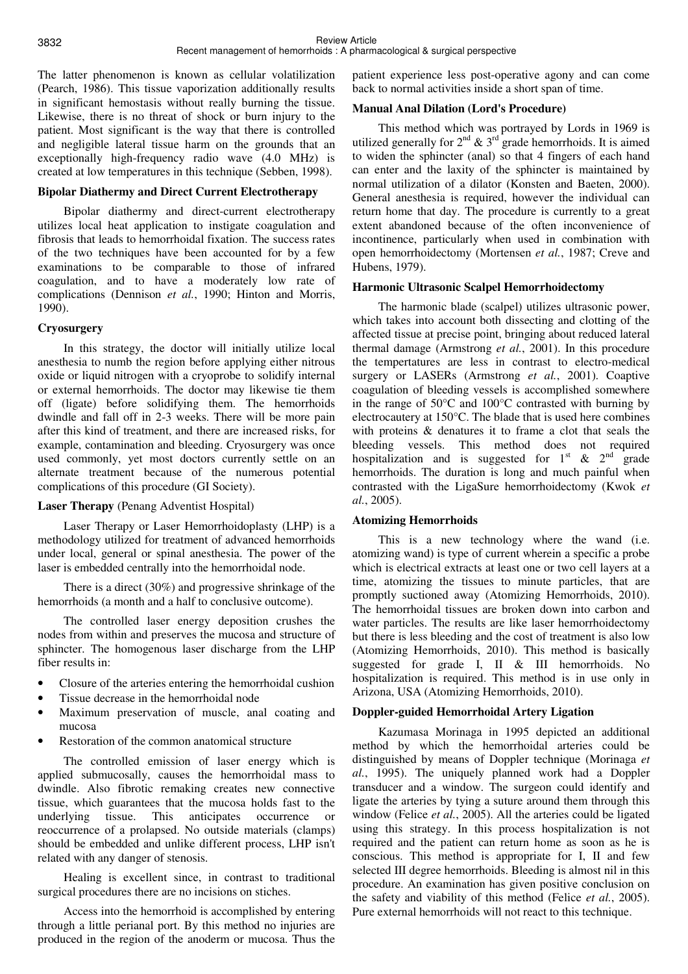The latter phenomenon is known as cellular volatilization (Pearch, 1986). This tissue vaporization additionally results in significant hemostasis without really burning the tissue. Likewise, there is no threat of shock or burn injury to the patient. Most significant is the way that there is controlled and negligible lateral tissue harm on the grounds that an exceptionally high-frequency radio wave (4.0 MHz) is created at low temperatures in this technique (Sebben, 1998).

## **Bipolar Diathermy and Direct Current Electrotherapy**

Bipolar diathermy and direct-current electrotherapy utilizes local heat application to instigate coagulation and fibrosis that leads to hemorrhoidal fixation. The success rates of the two techniques have been accounted for by a few examinations to be comparable to those of infrared coagulation, and to have a moderately low rate of complications (Dennison *et al.*, 1990; Hinton and Morris, 1990).

# **Cryosurgery**

In this strategy, the doctor will initially utilize local anesthesia to numb the region before applying either nitrous oxide or liquid nitrogen with a cryoprobe to solidify internal or external hemorrhoids. The doctor may likewise tie them off (ligate) before solidifying them. The hemorrhoids dwindle and fall off in 2-3 weeks. There will be more pain after this kind of treatment, and there are increased risks, for example, contamination and bleeding. Cryosurgery was once used commonly, yet most doctors currently settle on an alternate treatment because of the numerous potential complications of this procedure (GI Society).

# **Laser Therapy** (Penang Adventist Hospital)

Laser Therapy or Laser Hemorrhoidoplasty (LHP) is a methodology utilized for treatment of advanced hemorrhoids under local, general or spinal anesthesia. The power of the laser is embedded centrally into the hemorrhoidal node.

There is a direct (30%) and progressive shrinkage of the hemorrhoids (a month and a half to conclusive outcome).

The controlled laser energy deposition crushes the nodes from within and preserves the mucosa and structure of sphincter. The homogenous laser discharge from the LHP fiber results in:

- Closure of the arteries entering the hemorrhoidal cushion
- Tissue decrease in the hemorrhoidal node
- Maximum preservation of muscle, anal coating and mucosa
- Restoration of the common anatomical structure

The controlled emission of laser energy which is applied submucosally, causes the hemorrhoidal mass to dwindle. Also fibrotic remaking creates new connective tissue, which guarantees that the mucosa holds fast to the underlying tissue. This anticipates occurrence or reoccurrence of a prolapsed. No outside materials (clamps) should be embedded and unlike different process, LHP isn't related with any danger of stenosis.

Healing is excellent since, in contrast to traditional surgical procedures there are no incisions on stiches.

Access into the hemorrhoid is accomplished by entering through a little perianal port. By this method no injuries are produced in the region of the anoderm or mucosa. Thus the patient experience less post-operative agony and can come back to normal activities inside a short span of time.

## **Manual Anal Dilation (Lord's Procedure)**

This method which was portrayed by Lords in 1969 is utilized generally for  $2^{nd}$  &  $3^{rd}$  grade hemorrhoids. It is aimed to widen the sphincter (anal) so that 4 fingers of each hand can enter and the laxity of the sphincter is maintained by normal utilization of a dilator (Konsten and Baeten, 2000). General anesthesia is required, however the individual can return home that day. The procedure is currently to a great extent abandoned because of the often inconvenience of incontinence, particularly when used in combination with open hemorrhoidectomy (Mortensen *et al.*, 1987; Creve and Hubens, 1979).

## **Harmonic Ultrasonic Scalpel Hemorrhoidectomy**

The harmonic blade (scalpel) utilizes ultrasonic power, which takes into account both dissecting and clotting of the affected tissue at precise point, bringing about reduced lateral thermal damage (Armstrong *et al.*, 2001). In this procedure the tempertatures are less in contrast to electro-medical surgery or LASERs (Armstrong *et al.*, 2001). Coaptive coagulation of bleeding vessels is accomplished somewhere in the range of 50°C and 100°C contrasted with burning by electrocautery at 150°C. The blade that is used here combines with proteins & denatures it to frame a clot that seals the bleeding vessels. This method does not required hospitalization and is suggested for  $1^{st}$  &  $2^{nd}$  grade hemorrhoids. The duration is long and much painful when contrasted with the LigaSure hemorrhoidectomy (Kwok *et al.*, 2005).

# **Atomizing Hemorrhoids**

This is a new technology where the wand (i.e. atomizing wand) is type of current wherein a specific a probe which is electrical extracts at least one or two cell layers at a time, atomizing the tissues to minute particles, that are promptly suctioned away (Atomizing Hemorrhoids, 2010). The hemorrhoidal tissues are broken down into carbon and water particles. The results are like laser hemorrhoidectomy but there is less bleeding and the cost of treatment is also low (Atomizing Hemorrhoids, 2010). This method is basically suggested for grade I, II & III hemorrhoids. No hospitalization is required. This method is in use only in Arizona, USA (Atomizing Hemorrhoids, 2010).

# **Doppler-guided Hemorrhoidal Artery Ligation**

Kazumasa Morinaga in 1995 depicted an additional method by which the hemorrhoidal arteries could be distinguished by means of Doppler technique (Morinaga *et al.*, 1995). The uniquely planned work had a Doppler transducer and a window. The surgeon could identify and ligate the arteries by tying a suture around them through this window (Felice *et al.*, 2005). All the arteries could be ligated using this strategy. In this process hospitalization is not required and the patient can return home as soon as he is conscious. This method is appropriate for I, II and few selected III degree hemorrhoids. Bleeding is almost nil in this procedure. An examination has given positive conclusion on the safety and viability of this method (Felice *et al.*, 2005). Pure external hemorrhoids will not react to this technique.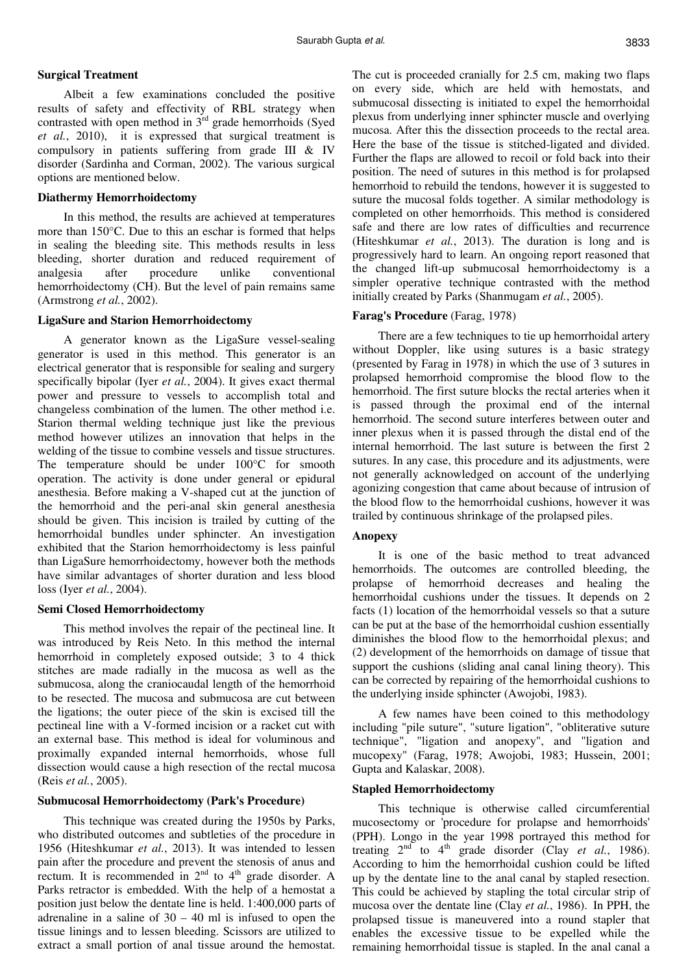### **Surgical Treatment**

Albeit a few examinations concluded the positive results of safety and effectivity of RBL strategy when contrasted with open method in  $3^{rd}$  grade hemorrhoids (Syed *et al.*, 2010), it is expressed that surgical treatment is compulsory in patients suffering from grade III & IV disorder (Sardinha and Corman, 2002). The various surgical options are mentioned below.

### **Diathermy Hemorrhoidectomy**

In this method, the results are achieved at temperatures more than 150°C. Due to this an eschar is formed that helps in sealing the bleeding site. This methods results in less bleeding, shorter duration and reduced requirement of analgesia after procedure unlike conventional hemorrhoidectomy (CH). But the level of pain remains same (Armstrong *et al.*, 2002).

### **LigaSure and Starion Hemorrhoidectomy**

A generator known as the LigaSure vessel-sealing generator is used in this method. This generator is an electrical generator that is responsible for sealing and surgery specifically bipolar (Iyer *et al.*, 2004). It gives exact thermal power and pressure to vessels to accomplish total and changeless combination of the lumen. The other method i.e. Starion thermal welding technique just like the previous method however utilizes an innovation that helps in the welding of the tissue to combine vessels and tissue structures. The temperature should be under 100°C for smooth operation. The activity is done under general or epidural anesthesia. Before making a V-shaped cut at the junction of the hemorrhoid and the peri-anal skin general anesthesia should be given. This incision is trailed by cutting of the hemorrhoidal bundles under sphincter. An investigation exhibited that the Starion hemorrhoidectomy is less painful than LigaSure hemorrhoidectomy, however both the methods have similar advantages of shorter duration and less blood loss (Iyer *et al.*, 2004).

#### **Semi Closed Hemorrhoidectomy**

This method involves the repair of the pectineal line. It was introduced by Reis Neto. In this method the internal hemorrhoid in completely exposed outside; 3 to 4 thick stitches are made radially in the mucosa as well as the submucosa, along the craniocaudal length of the hemorrhoid to be resected. The mucosa and submucosa are cut between the ligations; the outer piece of the skin is excised till the pectineal line with a V-formed incision or a racket cut with an external base. This method is ideal for voluminous and proximally expanded internal hemorrhoids, whose full dissection would cause a high resection of the rectal mucosa (Reis *et al.*, 2005).

#### **Submucosal Hemorrhoidectomy (Park's Procedure)**

This technique was created during the 1950s by Parks, who distributed outcomes and subtleties of the procedure in 1956 (Hiteshkumar *et al.*, 2013). It was intended to lessen pain after the procedure and prevent the stenosis of anus and rectum. It is recommended in  $2<sup>nd</sup>$  to  $4<sup>th</sup>$  grade disorder. A Parks retractor is embedded. With the help of a hemostat a position just below the dentate line is held. 1:400,000 parts of adrenaline in a saline of  $30 - 40$  ml is infused to open the tissue linings and to lessen bleeding. Scissors are utilized to extract a small portion of anal tissue around the hemostat. The cut is proceeded cranially for 2.5 cm, making two flaps on every side, which are held with hemostats, and submucosal dissecting is initiated to expel the hemorrhoidal plexus from underlying inner sphincter muscle and overlying mucosa. After this the dissection proceeds to the rectal area. Here the base of the tissue is stitched-ligated and divided. Further the flaps are allowed to recoil or fold back into their position. The need of sutures in this method is for prolapsed hemorrhoid to rebuild the tendons, however it is suggested to suture the mucosal folds together. A similar methodology is completed on other hemorrhoids. This method is considered safe and there are low rates of difficulties and recurrence (Hiteshkumar *et al.*, 2013). The duration is long and is progressively hard to learn. An ongoing report reasoned that the changed lift-up submucosal hemorrhoidectomy is a simpler operative technique contrasted with the method initially created by Parks (Shanmugam *et al.*, 2005).

## **Farag's Procedure** (Farag, 1978)

There are a few techniques to tie up hemorrhoidal artery without Doppler, like using sutures is a basic strategy (presented by Farag in 1978) in which the use of 3 sutures in prolapsed hemorrhoid compromise the blood flow to the hemorrhoid. The first suture blocks the rectal arteries when it is passed through the proximal end of the internal hemorrhoid. The second suture interferes between outer and inner plexus when it is passed through the distal end of the internal hemorrhoid. The last suture is between the first 2 sutures. In any case, this procedure and its adjustments, were not generally acknowledged on account of the underlying agonizing congestion that came about because of intrusion of the blood flow to the hemorrhoidal cushions, however it was trailed by continuous shrinkage of the prolapsed piles.

### **Anopexy**

It is one of the basic method to treat advanced hemorrhoids. The outcomes are controlled bleeding, the prolapse of hemorrhoid decreases and healing the hemorrhoidal cushions under the tissues. It depends on 2 facts (1) location of the hemorrhoidal vessels so that a suture can be put at the base of the hemorrhoidal cushion essentially diminishes the blood flow to the hemorrhoidal plexus; and (2) development of the hemorrhoids on damage of tissue that support the cushions (sliding anal canal lining theory). This can be corrected by repairing of the hemorrhoidal cushions to the underlying inside sphincter (Awojobi, 1983).

A few names have been coined to this methodology including "pile suture", "suture ligation", "obliterative suture technique", "ligation and anopexy", and "ligation and mucopexy" (Farag, 1978; Awojobi, 1983; Hussein, 2001; Gupta and Kalaskar, 2008).

## **Stapled Hemorrhoidectomy**

This technique is otherwise called circumferential mucosectomy or 'procedure for prolapse and hemorrhoids' (PPH). Longo in the year 1998 portrayed this method for treating  $2<sup>nd</sup>$  to  $4<sup>th</sup>$  grade disorder (Clay *et al.*, 1986). According to him the hemorrhoidal cushion could be lifted up by the dentate line to the anal canal by stapled resection. This could be achieved by stapling the total circular strip of mucosa over the dentate line (Clay *et al.*, 1986). In PPH, the prolapsed tissue is maneuvered into a round stapler that enables the excessive tissue to be expelled while the remaining hemorrhoidal tissue is stapled. In the anal canal a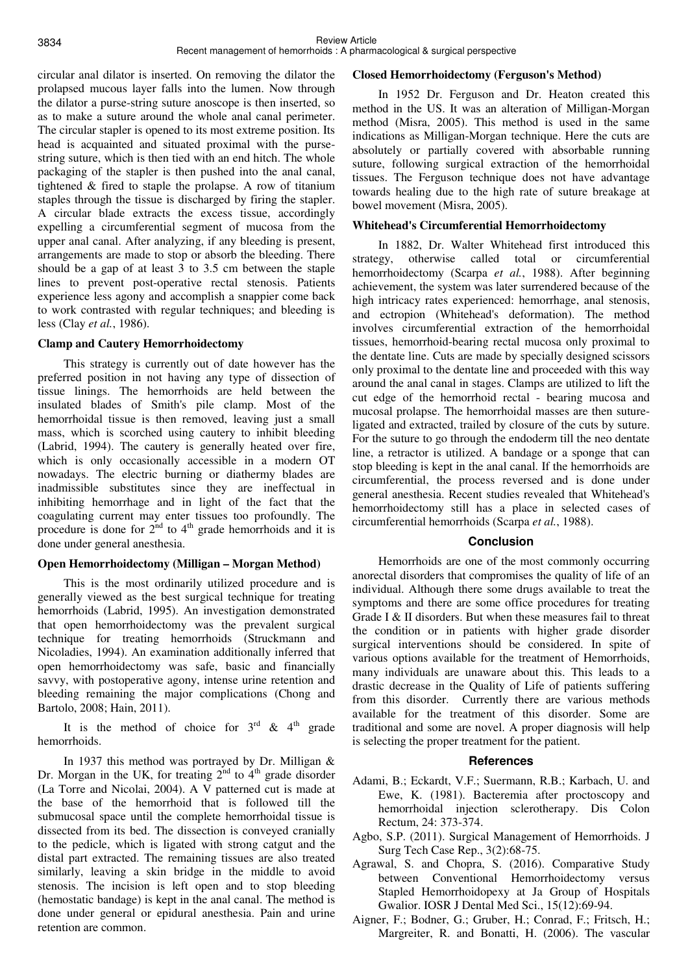circular anal dilator is inserted. On removing the dilator the prolapsed mucous layer falls into the lumen. Now through the dilator a purse-string suture anoscope is then inserted, so as to make a suture around the whole anal canal perimeter. The circular stapler is opened to its most extreme position. Its head is acquainted and situated proximal with the pursestring suture, which is then tied with an end hitch. The whole packaging of the stapler is then pushed into the anal canal, tightened & fired to staple the prolapse. A row of titanium staples through the tissue is discharged by firing the stapler. A circular blade extracts the excess tissue, accordingly expelling a circumferential segment of mucosa from the upper anal canal. After analyzing, if any bleeding is present, arrangements are made to stop or absorb the bleeding. There should be a gap of at least 3 to 3.5 cm between the staple lines to prevent post-operative rectal stenosis. Patients experience less agony and accomplish a snappier come back to work contrasted with regular techniques; and bleeding is less (Clay *et al.*, 1986).

## **Clamp and Cautery Hemorrhoidectomy**

This strategy is currently out of date however has the preferred position in not having any type of dissection of tissue linings. The hemorrhoids are held between the insulated blades of Smith's pile clamp. Most of the hemorrhoidal tissue is then removed, leaving just a small mass, which is scorched using cautery to inhibit bleeding (Labrid, 1994). The cautery is generally heated over fire, which is only occasionally accessible in a modern OT nowadays. The electric burning or diathermy blades are inadmissible substitutes since they are ineffectual in inhibiting hemorrhage and in light of the fact that the coagulating current may enter tissues too profoundly. The procedure is done for  $2<sup>nd</sup>$  to  $4<sup>th</sup>$  grade hemorrhoids and it is done under general anesthesia.

## **Open Hemorrhoidectomy (Milligan – Morgan Method)**

This is the most ordinarily utilized procedure and is generally viewed as the best surgical technique for treating hemorrhoids (Labrid, 1995). An investigation demonstrated that open hemorrhoidectomy was the prevalent surgical technique for treating hemorrhoids (Struckmann and Nicoladies, 1994). An examination additionally inferred that open hemorrhoidectomy was safe, basic and financially savvy, with postoperative agony, intense urine retention and bleeding remaining the major complications (Chong and Bartolo, 2008; Hain, 2011).

It is the method of choice for  $3<sup>rd</sup>$  & 4<sup>th</sup> grade hemorrhoids.

In 1937 this method was portrayed by Dr. Milligan & Dr. Morgan in the UK, for treating  $2<sup>nd</sup>$  to  $4<sup>th</sup>$  grade disorder (La Torre and Nicolai, 2004). A V patterned cut is made at the base of the hemorrhoid that is followed till the submucosal space until the complete hemorrhoidal tissue is dissected from its bed. The dissection is conveyed cranially to the pedicle, which is ligated with strong catgut and the distal part extracted. The remaining tissues are also treated similarly, leaving a skin bridge in the middle to avoid stenosis. The incision is left open and to stop bleeding (hemostatic bandage) is kept in the anal canal. The method is done under general or epidural anesthesia. Pain and urine retention are common.

## **Closed Hemorrhoidectomy (Ferguson's Method)**

In 1952 Dr. Ferguson and Dr. Heaton created this method in the US. It was an alteration of Milligan-Morgan method (Misra, 2005). This method is used in the same indications as Milligan-Morgan technique. Here the cuts are absolutely or partially covered with absorbable running suture, following surgical extraction of the hemorrhoidal tissues. The Ferguson technique does not have advantage towards healing due to the high rate of suture breakage at bowel movement (Misra, 2005).

## **Whitehead's Circumferential Hemorrhoidectomy**

In 1882, Dr. Walter Whitehead first introduced this strategy, otherwise called total or circumferential hemorrhoidectomy (Scarpa *et al.*, 1988). After beginning achievement, the system was later surrendered because of the high intricacy rates experienced: hemorrhage, anal stenosis, and ectropion (Whitehead's deformation). The method involves circumferential extraction of the hemorrhoidal tissues, hemorrhoid-bearing rectal mucosa only proximal to the dentate line. Cuts are made by specially designed scissors only proximal to the dentate line and proceeded with this way around the anal canal in stages. Clamps are utilized to lift the cut edge of the hemorrhoid rectal - bearing mucosa and mucosal prolapse. The hemorrhoidal masses are then sutureligated and extracted, trailed by closure of the cuts by suture. For the suture to go through the endoderm till the neo dentate line, a retractor is utilized. A bandage or a sponge that can stop bleeding is kept in the anal canal. If the hemorrhoids are circumferential, the process reversed and is done under general anesthesia. Recent studies revealed that Whitehead's hemorrhoidectomy still has a place in selected cases of circumferential hemorrhoids (Scarpa *et al.*, 1988).

# **Conclusion**

Hemorrhoids are one of the most commonly occurring anorectal disorders that compromises the quality of life of an individual. Although there some drugs available to treat the symptoms and there are some office procedures for treating Grade I & II disorders. But when these measures fail to threat the condition or in patients with higher grade disorder surgical interventions should be considered. In spite of various options available for the treatment of Hemorrhoids, many individuals are unaware about this. This leads to a drastic decrease in the Quality of Life of patients suffering from this disorder. Currently there are various methods available for the treatment of this disorder. Some are traditional and some are novel. A proper diagnosis will help is selecting the proper treatment for the patient.

# **References**

- Adami, B.; Eckardt, V.F.; Suermann, R.B.; Karbach, U. and Ewe, K. (1981). Bacteremia after proctoscopy and hemorrhoidal injection sclerotherapy. Dis Colon Rectum, 24: 373-374.
- Agbo, S.P. (2011). Surgical Management of Hemorrhoids. J Surg Tech Case Rep., 3(2):68-75.
- Agrawal, S. and Chopra, S. (2016). Comparative Study between Conventional Hemorrhoidectomy versus Stapled Hemorrhoidopexy at Ja Group of Hospitals Gwalior. IOSR J Dental Med Sci., 15(12):69-94.
- Aigner, F.; Bodner, G.; Gruber, H.; Conrad, F.; Fritsch, H.; Margreiter, R. and Bonatti, H. (2006). The vascular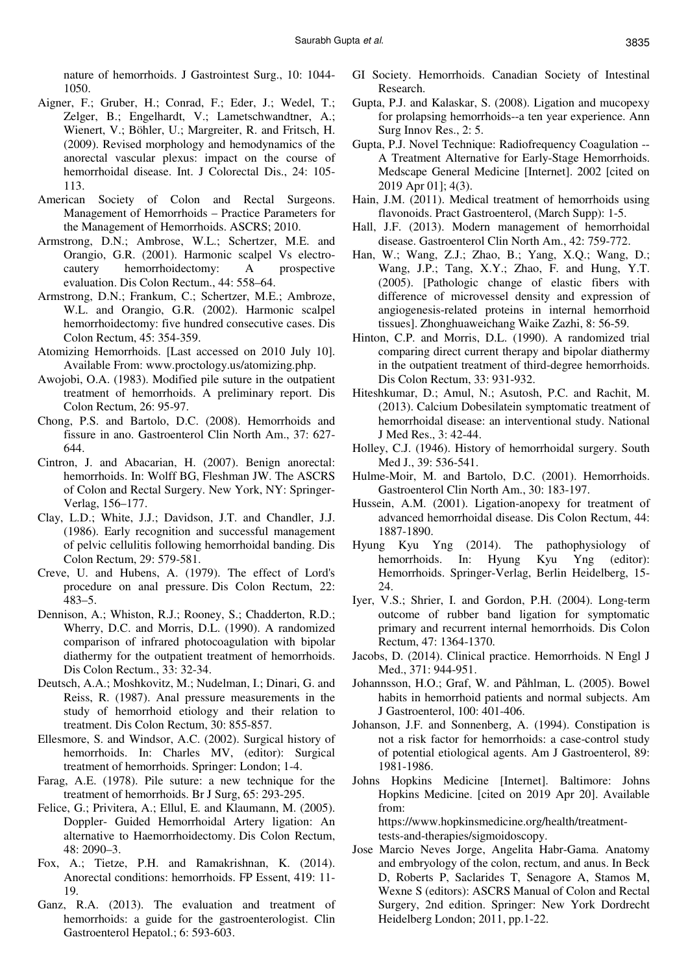nature of hemorrhoids. J Gastrointest Surg., 10: 1044- 1050.

- Aigner, F.; Gruber, H.; Conrad, F.; Eder, J.; Wedel, T.; Zelger, B.; Engelhardt, V.; Lametschwandtner, A.; Wienert, V.; Böhler, U.; Margreiter, R. and Fritsch, H. (2009). Revised morphology and hemodynamics of the anorectal vascular plexus: impact on the course of hemorrhoidal disease. Int. J Colorectal Dis., 24: 105- 113.
- American Society of Colon and Rectal Surgeons. Management of Hemorrhoids – Practice Parameters for the Management of Hemorrhoids. ASCRS; 2010.
- Armstrong, D.N.; Ambrose, W.L.; Schertzer, M.E. and Orangio, G.R. (2001). Harmonic scalpel Vs electrocautery hemorrhoidectomy: A prospective evaluation. Dis Colon Rectum., 44: 558–64.
- Armstrong, D.N.; Frankum, C.; Schertzer, M.E.; Ambroze, W.L. and Orangio, G.R. (2002). Harmonic scalpel hemorrhoidectomy: five hundred consecutive cases. Dis Colon Rectum, 45: 354-359.
- Atomizing Hemorrhoids. [Last accessed on 2010 July 10]. Available From: www.proctology.us/atomizing.php.
- Awojobi, O.A. (1983). Modified pile suture in the outpatient treatment of hemorrhoids. A preliminary report. Dis Colon Rectum, 26: 95-97.
- Chong, P.S. and Bartolo, D.C. (2008). Hemorrhoids and fissure in ano. Gastroenterol Clin North Am., 37: 627- 644.
- Cintron, J. and Abacarian, H. (2007). Benign anorectal: hemorrhoids. In: Wolff BG, Fleshman JW. The ASCRS of Colon and Rectal Surgery. New York, NY: Springer-Verlag, 156–177.
- Clay, L.D.; White, J.J.; Davidson, J.T. and Chandler, J.J. (1986). Early recognition and successful management of pelvic cellulitis following hemorrhoidal banding. Dis Colon Rectum, 29: 579-581.
- Creve, U. and Hubens, A. (1979). The effect of Lord's procedure on anal pressure. Dis Colon Rectum, 22: 483–5.
- Dennison, A.; Whiston, R.J.; Rooney, S.; Chadderton, R.D.; Wherry, D.C. and Morris, D.L. (1990). A randomized comparison of infrared photocoagulation with bipolar diathermy for the outpatient treatment of hemorrhoids. Dis Colon Rectum., 33: 32-34.
- Deutsch, A.A.; Moshkovitz, M.; Nudelman, I.; Dinari, G. and Reiss, R. (1987). Anal pressure measurements in the study of hemorrhoid etiology and their relation to treatment. Dis Colon Rectum, 30: 855-857.
- Ellesmore, S. and Windsor, A.C. (2002). Surgical history of hemorrhoids. In: Charles MV, (editor): Surgical treatment of hemorrhoids. Springer: London; 1-4.
- Farag, A.E. (1978). Pile suture: a new technique for the treatment of hemorrhoids. Br J Surg, 65: 293-295.
- Felice, G.; Privitera, A.; Ellul, E. and Klaumann, M. (2005). Doppler- Guided Hemorrhoidal Artery ligation: An alternative to Haemorrhoidectomy. Dis Colon Rectum, 48: 2090–3.
- Fox, A.; Tietze, P.H. and Ramakrishnan, K. (2014). Anorectal conditions: hemorrhoids. FP Essent, 419: 11- 19.
- Ganz, R.A. (2013). The evaluation and treatment of hemorrhoids: a guide for the gastroenterologist. Clin Gastroenterol Hepatol.; 6: 593-603.
- GI Society. Hemorrhoids. Canadian Society of Intestinal Research.
- Gupta, P.J. and Kalaskar, S. (2008). Ligation and mucopexy for prolapsing hemorrhoids--a ten year experience. Ann Surg Innov Res., 2: 5.
- Gupta, P.J. Novel Technique: Radiofrequency Coagulation -- A Treatment Alternative for Early-Stage Hemorrhoids. Medscape General Medicine [Internet]. 2002 [cited on 2019 Apr 01]; 4(3).
- Hain, J.M. (2011). Medical treatment of hemorrhoids using flavonoids. Pract Gastroenterol, (March Supp): 1-5.
- Hall, J.F. (2013). Modern management of hemorrhoidal disease. Gastroenterol Clin North Am., 42: 759-772.
- Han, W.; Wang, Z.J.; Zhao, B.; Yang, X.Q.; Wang, D.; Wang, J.P.; Tang, X.Y.; Zhao, F. and Hung, Y.T. (2005). [Pathologic change of elastic fibers with difference of microvessel density and expression of angiogenesis-related proteins in internal hemorrhoid tissues]. Zhonghuaweichang Waike Zazhi, 8: 56-59.
- Hinton, C.P. and Morris, D.L. (1990). A randomized trial comparing direct current therapy and bipolar diathermy in the outpatient treatment of third-degree hemorrhoids. Dis Colon Rectum, 33: 931-932.
- Hiteshkumar, D.; Amul, N.; Asutosh, P.C. and Rachit, M. (2013). Calcium Dobesilatein symptomatic treatment of hemorrhoidal disease: an interventional study. National J Med Res., 3: 42-44.
- Holley, C.J. (1946). History of hemorrhoidal surgery. South Med J., 39: 536-541.
- Hulme-Moir, M. and Bartolo, D.C. (2001). Hemorrhoids. Gastroenterol Clin North Am., 30: 183-197.
- Hussein, A.M. (2001). Ligation-anopexy for treatment of advanced hemorrhoidal disease. Dis Colon Rectum, 44: 1887-1890.
- Hyung Kyu Yng (2014). The pathophysiology of hemorrhoids. In: Hyung Kyu Yng (editor): Hemorrhoids. Springer-Verlag, Berlin Heidelberg, 15- 24.
- Iyer, V.S.; Shrier, I. and Gordon, P.H. (2004). Long-term outcome of rubber band ligation for symptomatic primary and recurrent internal hemorrhoids. Dis Colon Rectum, 47: 1364-1370.
- Jacobs, D. (2014). Clinical practice. Hemorrhoids. N Engl J Med., 371: 944-951.
- Johannsson, H.O.; Graf, W. and Påhlman, L. (2005). Bowel habits in hemorrhoid patients and normal subjects. Am J Gastroenterol, 100: 401-406.
- Johanson, J.F. and Sonnenberg, A. (1994). Constipation is not a risk factor for hemorrhoids: a case-control study of potential etiological agents. Am J Gastroenterol, 89: 1981-1986.
- Johns Hopkins Medicine [Internet]. Baltimore: Johns Hopkins Medicine. [cited on 2019 Apr 20]. Available from:

https://www.hopkinsmedicine.org/health/treatmenttests-and-therapies/sigmoidoscopy.

Jose Marcio Neves Jorge, Angelita Habr-Gama. Anatomy and embryology of the colon, rectum, and anus. In Beck D, Roberts P, Saclarides T, Senagore A, Stamos M, Wexne S (editors): ASCRS Manual of Colon and Rectal Surgery, 2nd edition. Springer: New York Dordrecht Heidelberg London; 2011, pp.1-22.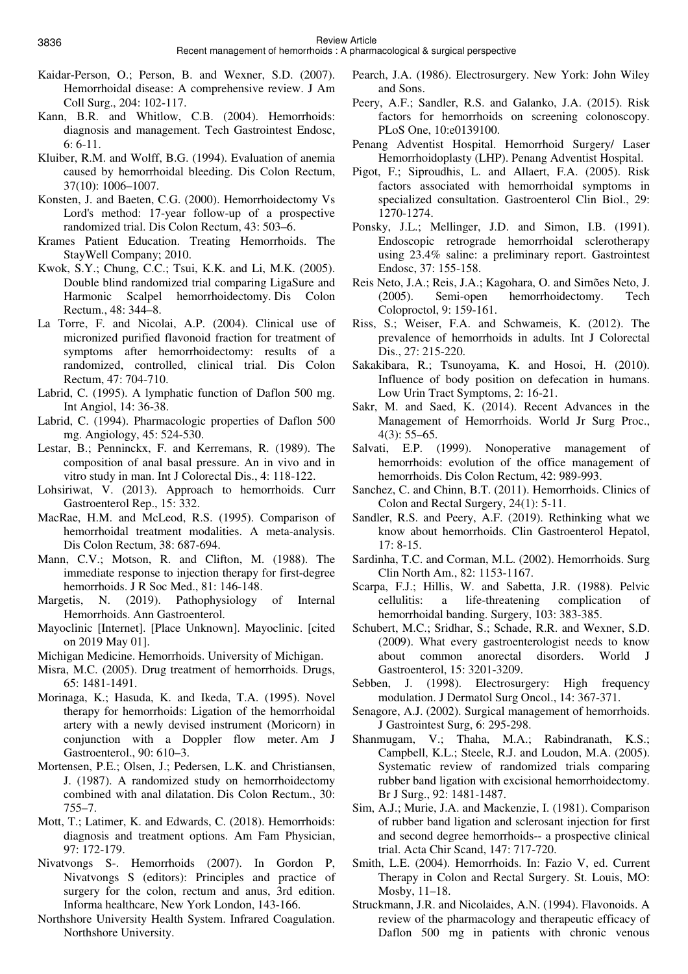Review Article

- Kaidar-Person, O.; Person, B. and Wexner, S.D. (2007). Hemorrhoidal disease: A comprehensive review. J Am Coll Surg., 204: 102-117.
- Kann, B.R. and Whitlow, C.B. (2004). Hemorrhoids: diagnosis and management. Tech Gastrointest Endosc, 6: 6-11.
- Kluiber, R.M. and Wolff, B.G. (1994). Evaluation of anemia caused by hemorrhoidal bleeding. Dis Colon Rectum, 37(10): 1006–1007.
- Konsten, J. and Baeten, C.G. (2000). Hemorrhoidectomy Vs Lord's method: 17-year follow-up of a prospective randomized trial. Dis Colon Rectum, 43: 503–6.
- Krames Patient Education. Treating Hemorrhoids. The StayWell Company; 2010.
- Kwok, S.Y.; Chung, C.C.; Tsui, K.K. and Li, M.K. (2005). Double blind randomized trial comparing LigaSure and Harmonic Scalpel hemorrhoidectomy. Dis Colon Rectum., 48: 344–8.
- La Torre, F. and Nicolai, A.P. (2004). Clinical use of micronized purified flavonoid fraction for treatment of symptoms after hemorrhoidectomy: results of a randomized, controlled, clinical trial. Dis Colon Rectum, 47: 704-710.
- Labrid, C. (1995). A lymphatic function of Daflon 500 mg. Int Angiol, 14: 36-38.
- Labrid, C. (1994). Pharmacologic properties of Daflon 500 mg. Angiology, 45: 524-530.
- Lestar, B.; Penninckx, F. and Kerremans, R. (1989). The composition of anal basal pressure. An in vivo and in vitro study in man. Int J Colorectal Dis., 4: 118-122.
- Lohsiriwat, V. (2013). Approach to hemorrhoids. Curr Gastroenterol Rep., 15: 332.
- MacRae, H.M. and McLeod, R.S. (1995). Comparison of hemorrhoidal treatment modalities. A meta-analysis. Dis Colon Rectum, 38: 687-694.
- Mann, C.V.; Motson, R. and Clifton, M. (1988). The immediate response to injection therapy for first-degree hemorrhoids. J R Soc Med., 81: 146-148.
- Margetis, N. (2019). Pathophysiology of Internal Hemorrhoids. Ann Gastroenterol.
- Mayoclinic [Internet]. [Place Unknown]. Mayoclinic. [cited on 2019 May 01].
- Michigan Medicine. Hemorrhoids. University of Michigan.
- Misra, M.C. (2005). Drug treatment of hemorrhoids. Drugs, 65: 1481-1491.
- Morinaga, K.; Hasuda, K. and Ikeda, T.A. (1995). Novel therapy for hemorrhoids: Ligation of the hemorrhoidal artery with a newly devised instrument (Moricorn) in conjunction with a Doppler flow meter. Am J Gastroenterol., 90: 610–3.
- Mortensen, P.E.; Olsen, J.; Pedersen, L.K. and Christiansen, J. (1987). A randomized study on hemorrhoidectomy combined with anal dilatation. Dis Colon Rectum., 30: 755–7.
- Mott, T.; Latimer, K. and Edwards, C. (2018). Hemorrhoids: diagnosis and treatment options. Am Fam Physician, 97: 172-179.
- Nivatvongs S-. Hemorrhoids (2007). In Gordon P, Nivatvongs S (editors): Principles and practice of surgery for the colon, rectum and anus, 3rd edition. Informa healthcare, New York London, 143-166.
- Northshore University Health System. Infrared Coagulation. Northshore University.
- Pearch, J.A. (1986). Electrosurgery. New York: John Wiley and Sons.
- Peery, A.F.; Sandler, R.S. and Galanko, J.A. (2015). Risk factors for hemorrhoids on screening colonoscopy. PLoS Οne, 10:e0139100.
- Penang Adventist Hospital. Hemorrhoid Surgery/ Laser Hemorrhoidoplasty (LHP). Penang Adventist Hospital.
- Pigot, F.; Siproudhis, L. and Allaert, F.A. (2005). Risk factors associated with hemorrhoidal symptoms in specialized consultation. Gastroenterol Clin Biol., 29: 1270-1274.
- Ponsky, J.L.; Mellinger, J.D. and Simon, I.B. (1991). Endoscopic retrograde hemorrhoidal sclerotherapy using 23.4% saline: a preliminary report. Gastrointest Endosc, 37: 155-158.
- Reis Neto, J.A.; Reis, J.A.; Kagohara, O. and Simões Neto, J. (2005). Semi-open hemorrhoidectomy. Tech Coloproctol, 9: 159-161.
- Riss, S.; Weiser, F.A. and Schwameis, K. (2012). The prevalence of hemorrhoids in adults. Int J Colorectal Dis., 27: 215-220.
- Sakakibara, R.; Tsunoyama, K. and Hosoi, H. (2010). Influence of body position on defecation in humans. Low Urin Tract Symptoms, 2: 16-21.
- Sakr, M. and Saed, K. (2014). Recent Advances in the Management of Hemorrhoids. World Jr Surg Proc.,  $4(3)$ : 55–65.
- Salvati, E.P. (1999). Nonoperative management of hemorrhoids: evolution of the office management of hemorrhoids. Dis Colon Rectum, 42: 989-993.
- Sanchez, C. and Chinn, B.T. (2011). Hemorrhoids. Clinics of Colon and Rectal Surgery, 24(1): 5-11.
- Sandler, R.S. and Peery, A.F. (2019). Rethinking what we know about hemorrhoids. Clin Gastroenterol Hepatol, 17: 8-15.
- Sardinha, T.C. and Corman, M.L. (2002). Hemorrhoids. Surg Clin North Am., 82: 1153-1167.
- Scarpa, F.J.; Hillis, W. and Sabetta, J.R. (1988). Pelvic cellulitis: a life-threatening complication of hemorrhoidal banding. Surgery, 103: 383-385.
- Schubert, M.C.; Sridhar, S.; Schade, R.R. and Wexner, S.D. (2009). What every gastroenterologist needs to know about common anorectal disorders. World J Gastroenterol, 15: 3201-3209.
- Sebben, J. (1998). Electrosurgery: High frequency modulation. J Dermatol Surg Oncol., 14: 367-371.
- Senagore, A.J. (2002). Surgical management of hemorrhoids. J Gastrointest Surg, 6: 295-298.
- Shanmugam, V.; Thaha, M.A.; Rabindranath, K.S.; Campbell, K.L.; Steele, R.J. and Loudon, M.A. (2005). Systematic review of randomized trials comparing rubber band ligation with excisional hemorrhoidectomy. Br J Surg., 92: 1481-1487.
- Sim, A.J.; Murie, J.A. and Mackenzie, I. (1981). Comparison of rubber band ligation and sclerosant injection for first and second degree hemorrhoids-- a prospective clinical trial. Acta Chir Scand, 147: 717-720.
- Smith, L.E. (2004). Hemorrhoids. In: Fazio V, ed. Current Therapy in Colon and Rectal Surgery. St. Louis, MO: Mosby, 11–18.
- Struckmann, J.R. and Nicolaides, A.N. (1994). Flavonoids. A review of the pharmacology and therapeutic efficacy of Daflon 500 mg in patients with chronic venous